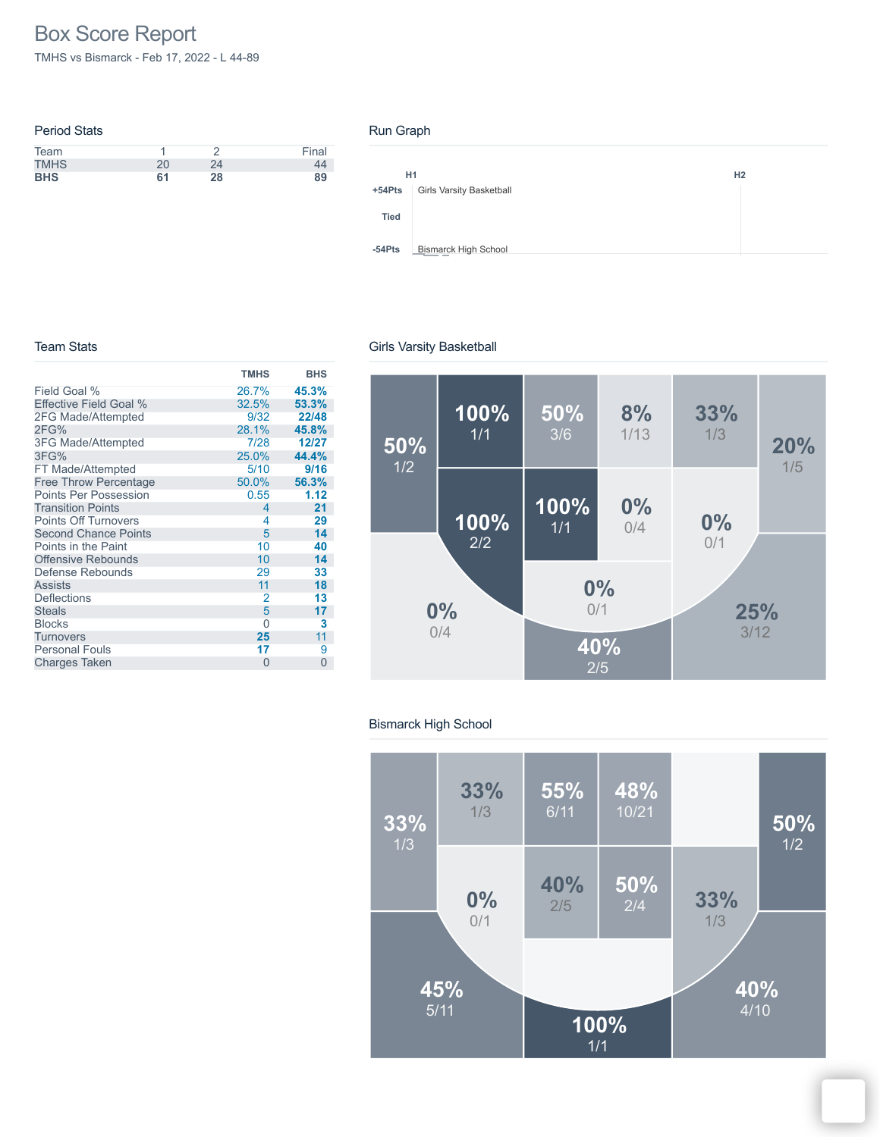# Box Score Report

TMHS vs Bismarck - Feb 17, 2022 - L 44-89

| <b>Period Stats</b> |    |    |       |
|---------------------|----|----|-------|
| Team                |    |    | Final |
| <b>TMHS</b>         | 20 | 24 |       |
| <b>BHS</b>          | 61 | 28 | 89    |

#### Run Graph



#### Team Stats

|                              | <b>TMHS</b>              | <b>BHS</b> |
|------------------------------|--------------------------|------------|
| Field Goal %                 | 26.7%                    | 45.3%      |
| Effective Field Goal %       | 32.5%                    | 53.3%      |
| 2FG Made/Attempted           | 9/32                     | 22/48      |
| 2FG%                         | 28.1%                    | 45.8%      |
| <b>3FG Made/Attempted</b>    | 7/28                     | 12/27      |
| 3FG%                         | 25.0%                    | 44.4%      |
| FT Made/Attempted            | 5/10                     | 9/16       |
| <b>Free Throw Percentage</b> | 50.0%                    | 56.3%      |
| Points Per Possession        | 0.55                     | 1.12       |
| <b>Transition Points</b>     | $\overline{\mathcal{A}}$ | 21         |
| <b>Points Off Turnovers</b>  | 4                        | 29         |
| <b>Second Chance Points</b>  | 5                        | 14         |
| Points in the Paint          | 10                       | 40         |
| <b>Offensive Rebounds</b>    | 10                       | 14         |
| Defense Rebounds             | 29                       | 33         |
| <b>Assists</b>               | 11                       | 18         |
| <b>Deflections</b>           | $\overline{2}$           | 13         |
| <b>Steals</b>                | 5                        | 17         |
| <b>Blocks</b>                | 0                        | 3          |
| <b>Turnovers</b>             | 25                       | 11         |
| <b>Personal Fouls</b>        | 17                       | 9          |
| <b>Charges Taken</b>         | 0                        | 0          |



#### Bismarck High School